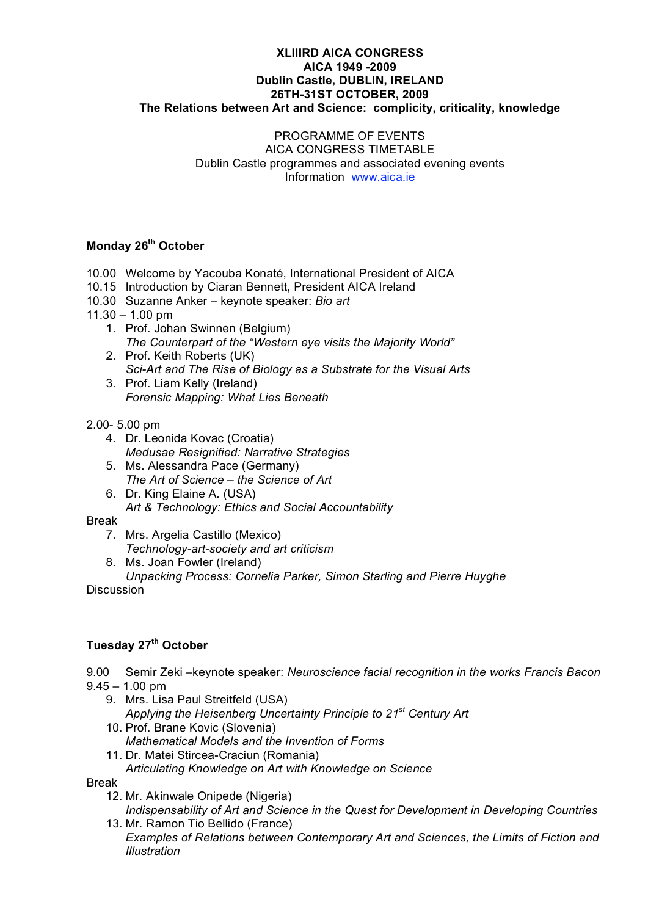#### **XLIIIRD AICA CONGRESS AICA 1949 -2009 Dublin Castle, DUBLIN, IRELAND 26TH-31ST OCTOBER, 2009 The Relations between Art and Science: complicity, criticality, knowledge**

#### PROGRAMME OF EVENTS AICA CONGRESS TIMETABLE Dublin Castle programmes and associated evening events Information www.aica.ie

### **Monday 26th October**

- 10.00 Welcome by Yacouba Konaté, International President of AICA
- 10.15 Introduction by Ciaran Bennett, President AICA Ireland
- 10.30 Suzanne Anker keynote speaker: *Bio art*
- $11.30 1.00$  pm
	- 1. Prof. Johan Swinnen (Belgium) *The Counterpart of the "Western eye visits the Majority World"*
	- 2. Prof. Keith Roberts (UK) *Sci-Art and The Rise of Biology as a Substrate for the Visual Arts*
	- 3. Prof. Liam Kelly (Ireland) *Forensic Mapping: What Lies Beneath*
- 2.00- 5.00 pm
	- 4. Dr. Leonida Kovac (Croatia) *Medusae Resignified: Narrative Strategies*
	- 5. Ms. Alessandra Pace (Germany) *The Art of Science – the Science of Art*
	- 6. Dr. King Elaine A. (USA) *Art & Technology: Ethics and Social Accountability*
- Break
	- 7. Mrs. Argelia Castillo (Mexico)
	- *Technology-art-society and art criticism*
	- 8. Ms. Joan Fowler (Ireland)
	- *Unpacking Process: Cornelia Parker, Simon Starling and Pierre Huyghe*

Discussion

## **Tuesday 27th October**

9.00 Semir Zeki –keynote speaker: *Neuroscience facial recognition in the works Francis Bacon* 

- $9.45 1.00$  pm
	- 9. Mrs. Lisa Paul Streitfeld (USA) *Applying the Heisenberg Uncertainty Principle to 21st Century Art*
	- 10. Prof. Brane Kovic (Slovenia) *Mathematical Models and the Invention of Forms*
	- 11. Dr. Matei Stircea-Craciun (Romania) *Articulating Knowledge on Art with Knowledge on Science*

Break

- 12. Mr. Akinwale Onipede (Nigeria) *Indispensability of Art and Science in the Quest for Development in Developing Countries*
- 13. Mr. Ramon Tio Bellido (France) *Examples of Relations between Contemporary Art and Sciences, the Limits of Fiction and Illustration*